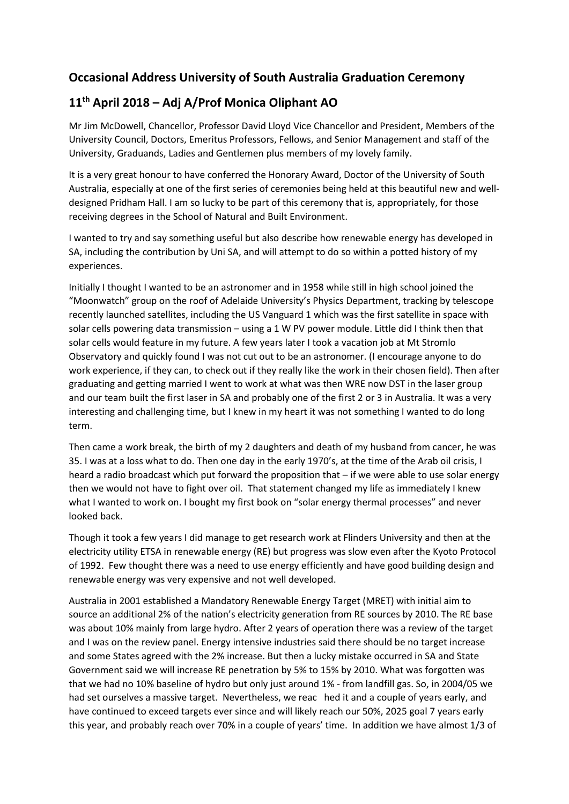## **Occasional Address University of South Australia Graduation Ceremony**

## **11th April 2018 – Adj A/Prof Monica Oliphant AO**

Mr Jim McDowell, Chancellor, Professor David Lloyd Vice Chancellor and President, Members of the University Council, Doctors, Emeritus Professors, Fellows, and Senior Management and staff of the University, Graduands, Ladies and Gentlemen plus members of my lovely family.

It is a very great honour to have conferred the Honorary Award, Doctor of the University of South Australia, especially at one of the first series of ceremonies being held at this beautiful new and welldesigned Pridham Hall. I am so lucky to be part of this ceremony that is, appropriately, for those receiving degrees in the School of Natural and Built Environment.

I wanted to try and say something useful but also describe how renewable energy has developed in SA, including the contribution by Uni SA, and will attempt to do so within a potted history of my experiences.

Initially I thought I wanted to be an astronomer and in 1958 while still in high school joined the "Moonwatch" group on the roof of Adelaide University's Physics Department, tracking by telescope recently launched satellites, including the US Vanguard 1 which was the first satellite in space with solar cells powering data transmission – using a 1 W PV power module. Little did I think then that solar cells would feature in my future. A few years later I took a vacation job at Mt Stromlo Observatory and quickly found I was not cut out to be an astronomer. (I encourage anyone to do work experience, if they can, to check out if they really like the work in their chosen field). Then after graduating and getting married I went to work at what was then WRE now DST in the laser group and our team built the first laser in SA and probably one of the first 2 or 3 in Australia. It was a very interesting and challenging time, but I knew in my heart it was not something I wanted to do long term.

Then came a work break, the birth of my 2 daughters and death of my husband from cancer, he was 35. I was at a loss what to do. Then one day in the early 1970's, at the time of the Arab oil crisis, I heard a radio broadcast which put forward the proposition that – if we were able to use solar energy then we would not have to fight over oil. That statement changed my life as immediately I knew what I wanted to work on. I bought my first book on "solar energy thermal processes" and never looked back.

Though it took a few years I did manage to get research work at Flinders University and then at the electricity utility ETSA in renewable energy (RE) but progress was slow even after the Kyoto Protocol of 1992. Few thought there was a need to use energy efficiently and have good building design and renewable energy was very expensive and not well developed.

Australia in 2001 established a Mandatory Renewable Energy Target (MRET) with initial aim to source an additional 2% of the nation's electricity generation from RE sources by 2010. The RE base was about 10% mainly from large hydro. After 2 years of operation there was a review of the target and I was on the review panel. Energy intensive industries said there should be no target increase and some States agreed with the 2% increase. But then a lucky mistake occurred in SA and State Government said we will increase RE penetration by 5% to 15% by 2010. What was forgotten was that we had no 10% baseline of hydro but only just around 1% - from landfill gas. So, in 2004/05 we had set ourselves a massive target. Nevertheless, we reac hed it and a couple of years early, and have continued to exceed targets ever since and will likely reach our 50%, 2025 goal 7 years early this year, and probably reach over 70% in a couple of years' time. In addition we have almost 1/3 of